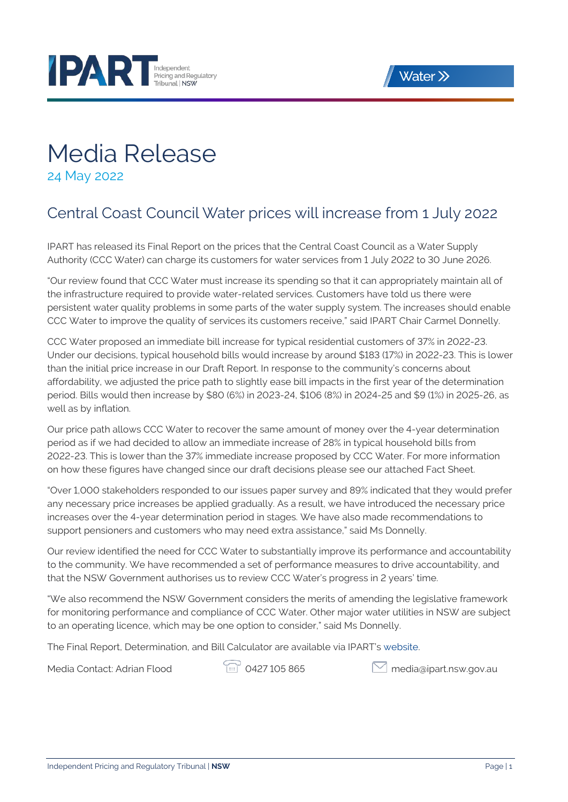



## Media Release

24 May 2022

### Central Coast Council Water prices will increase from 1 July 2022

IPART has released its Final Report on the prices that the Central Coast Council as a Water Supply Authority (CCC Water) can charge its customers for water services from 1 July 2022 to 30 June 2026.

"Our review found that CCC Water must increase its spending so that it can appropriately maintain all of the infrastructure required to provide water-related services. Customers have told us there were persistent water quality problems in some parts of the water supply system. The increases should enable CCC Water to improve the quality of services its customers receive," said IPART Chair Carmel Donnelly.

CCC Water proposed an immediate bill increase for typical residential customers of 37% in 2022-23. Under our decisions, typical household bills would increase by around \$183 (17%) in 2022-23. This is lower than the initial price increase in our Draft Report. In response to the community's concerns about affordability, we adjusted the price path to slightly ease bill impacts in the first year of the determination period. Bills would then increase by \$80 (6%) in 2023-24, \$106 (8%) in 2024-25 and \$9 (1%) in 2025-26, as well as by inflation.

Our price path allows CCC Water to recover the same amount of money over the 4-year determination period as if we had decided to allow an immediate increase of 28% in typical household bills from 2022-23. This is lower than the 37% immediate increase proposed by CCC Water. For more information on how these figures have changed since our draft decisions please see our attached Fact Sheet.

"Over 1,000 stakeholders responded to our issues paper survey and 89% indicated that they would prefer any necessary price increases be applied gradually. As a result, we have introduced the necessary price increases over the 4-year determination period in stages. We have also made recommendations to support pensioners and customers who may need extra assistance," said Ms Donnelly.

Our review identified the need for CCC Water to substantially improve its performance and accountability to the community. We have recommended a set of performance measures to drive accountability, and that the NSW Government authorises us to review CCC Water's progress in 2 years' time.

"We also recommend the NSW Government considers the merits of amending the legislative framework for monitoring performance and compliance of CCC Water. Other major water utilities in NSW are subject to an operating licence, which may be one option to consider," said Ms Donnelly.

The Final Report, Determination, and Bill Calculator are available via IPART's [website](https://www.ipart.nsw.gov.au/Home/Industries/Water/Reviews/Metro-Pricing/Prices-for-Central-Coast-Council-from-1-July-2022).

Media Contact: Adrian Flood **1998 10427 105 865** [media@ipart.nsw.gov.au](mailto:media@ipart.nsw.gov.au)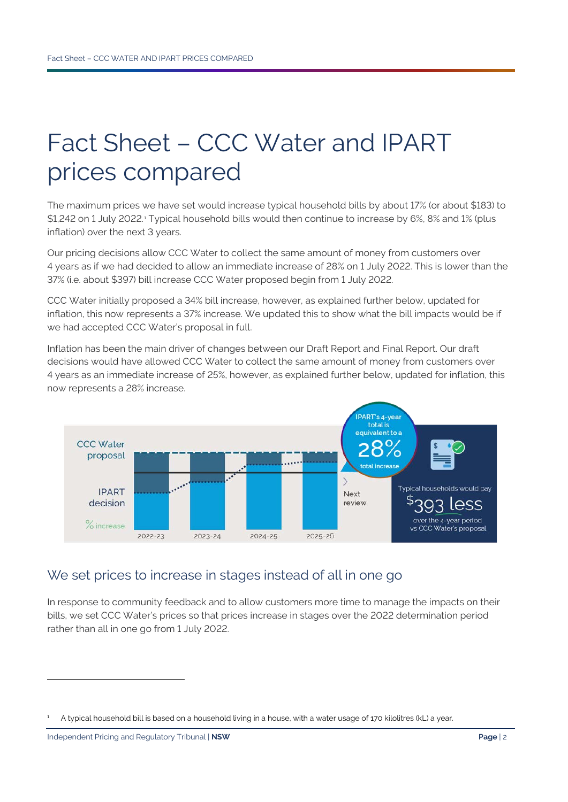# Fact Sheet – CCC Water and IPART prices compared

The maximum prices we have set would increase typical household bills by about 17% (or about \$183) to \$[1](#page-1-0),242 on 1 July 2022.<sup>1</sup> Typical household bills would then continue to increase by 6%, 8% and 1% (plus inflation) over the next 3 years.

Our pricing decisions allow CCC Water to collect the same amount of money from customers over 4 years as if we had decided to allow an immediate increase of 28% on 1 July 2022. This is lower than the 37% (i.e. about \$397) bill increase CCC Water proposed begin from 1 July 2022.

CCC Water initially proposed a 34% bill increase, however, as explained further below, updated for inflation, this now represents a 37% increase. We updated this to show what the bill impacts would be if we had accepted CCC Water's proposal in full.

Inflation has been the main driver of changes between our Draft Report and Final Report. Our draft decisions would have allowed CCC Water to collect the same amount of money from customers over 4 years as an immediate increase of 25%, however, as explained further below, updated for inflation, this now represents a 28% increase.



#### We set prices to increase in stages instead of all in one go

In response to community feedback and to allow customers more time to manage the impacts on their bills, we set CCC Water's prices so that prices increase in stages over the 2022 determination period rather than all in one go from 1 July 2022.

<span id="page-1-0"></span><sup>1</sup> A typical household bill is based on a household living in a house, with a water usage of 170 kilolitres (kL) a year.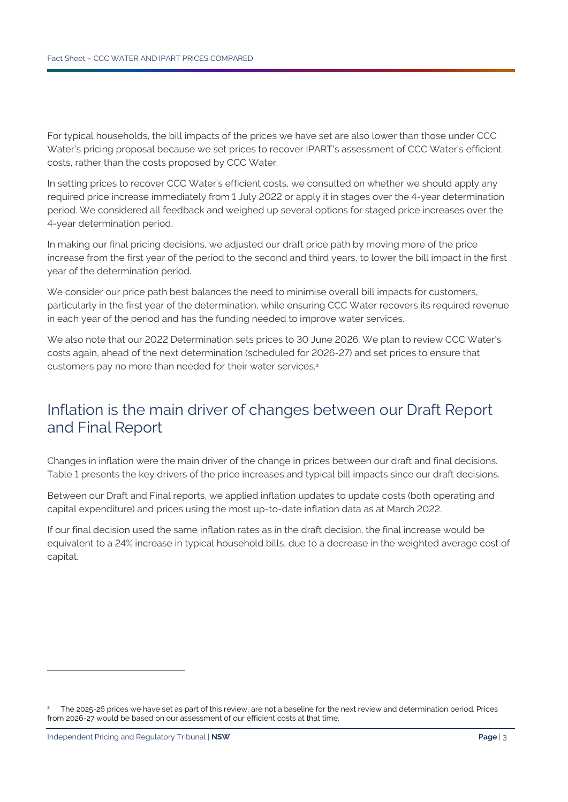For typical households, the bill impacts of the prices we have set are also lower than those under CCC Water's pricing proposal because we set prices to recover IPART's assessment of CCC Water's efficient costs, rather than the costs proposed by CCC Water.

In setting prices to recover CCC Water's efficient costs, we consulted on whether we should apply any required price increase immediately from 1 July 2022 or apply it in stages over the 4-year determination period. We considered all feedback and weighed up several options for staged price increases over the 4-year determination period.

In making our final pricing decisions, we adjusted our draft price path by moving more of the price increase from the first year of the period to the second and third years, to lower the bill impact in the first year of the determination period.

We consider our price path best balances the need to minimise overall bill impacts for customers, particularly in the first year of the determination, while ensuring CCC Water recovers its required revenue in each year of the period and has the funding needed to improve water services.

We also note that our 2022 Determination sets prices to 30 June 2026. We plan to review CCC Water's costs again, ahead of the next determination (scheduled for 2026-27) and set prices to ensure that customers pay no more than needed for their water services.<sup>[2](#page-2-0)</sup>

### Inflation is the main driver of changes between our Draft Report and Final Report

Changes in inflation were the main driver of the change in prices between our draft and final decisions. [Table](#page-3-0) 1 presents the key drivers of the price increases and typical bill impacts since our draft decisions.

Between our Draft and Final reports, we applied inflation updates to update costs (both operating and capital expenditure) and prices using the most up-to-date inflation data as at March 2022.

If our final decision used the same inflation rates as in the draft decision, the final increase would be equivalent to a 24% increase in typical household bills, due to a decrease in the weighted average cost of capital.

<span id="page-2-0"></span><sup>2</sup> The 2025-26 prices we have set as part of this review, are not a baseline for the next review and determination period. Prices from 2026-27 would be based on our assessment of our efficient costs at that time.